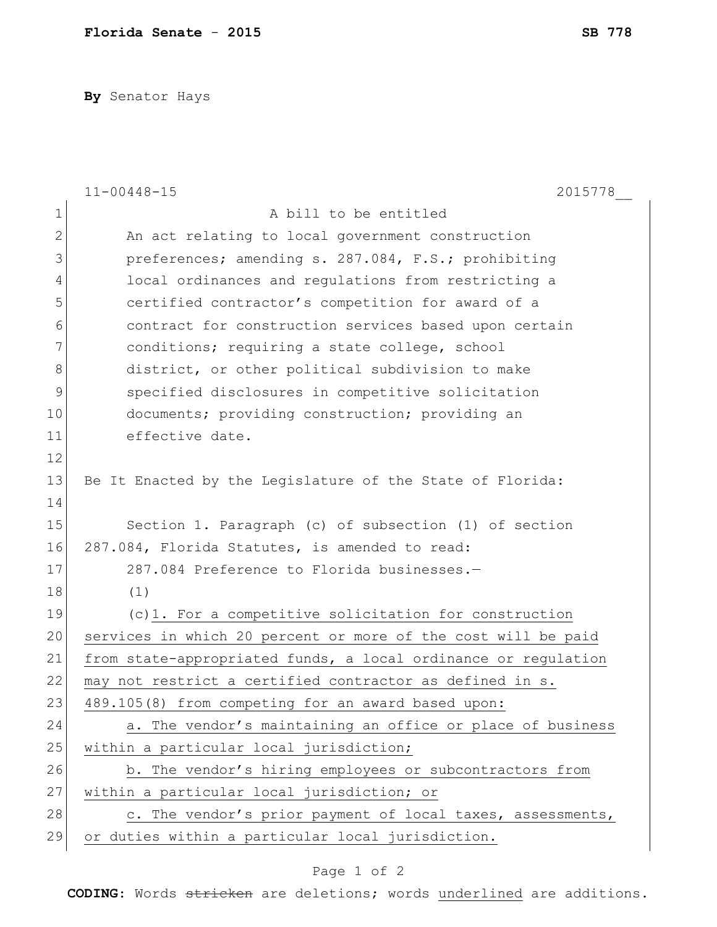**By** Senator Hays

|               | $11 - 00448 - 15$<br>2015778                                   |
|---------------|----------------------------------------------------------------|
| $\mathbf 1$   | A bill to be entitled                                          |
| $\mathbf{2}$  | An act relating to local government construction               |
| 3             | preferences; amending s. 287.084, F.S.; prohibiting            |
| 4             | local ordinances and regulations from restricting a            |
| 5             | certified contractor's competition for award of a              |
| 6             | contract for construction services based upon certain          |
| 7             | conditions; requiring a state college, school                  |
| 8             | district, or other political subdivision to make               |
| $\mathcal{G}$ | specified disclosures in competitive solicitation              |
| 10            | documents; providing construction; providing an                |
| 11            | effective date.                                                |
| 12            |                                                                |
| 13            | Be It Enacted by the Legislature of the State of Florida:      |
| 14            |                                                                |
| 15            | Section 1. Paragraph (c) of subsection (1) of section          |
| 16            | 287.084, Florida Statutes, is amended to read:                 |
| 17            | 287.084 Preference to Florida businesses.-                     |
| 18            | (1)                                                            |
| 19            | (c)1. For a competitive solicitation for construction          |
| 20            | services in which 20 percent or more of the cost will be paid  |
| 21            | from state-appropriated funds, a local ordinance or regulation |
| 22            | may not restrict a certified contractor as defined in s.       |
| 23            | 489.105(8) from competing for an award based upon:             |
| 24            | a. The vendor's maintaining an office or place of business     |
| 25            | within a particular local jurisdiction;                        |
| 26            | b. The vendor's hiring employees or subcontractors from        |
| 27            | within a particular local jurisdiction; or                     |
| 28            | c. The vendor's prior payment of local taxes, assessments,     |
| 29            | or duties within a particular local jurisdiction.              |

## Page 1 of 2

**CODING**: Words stricken are deletions; words underlined are additions.